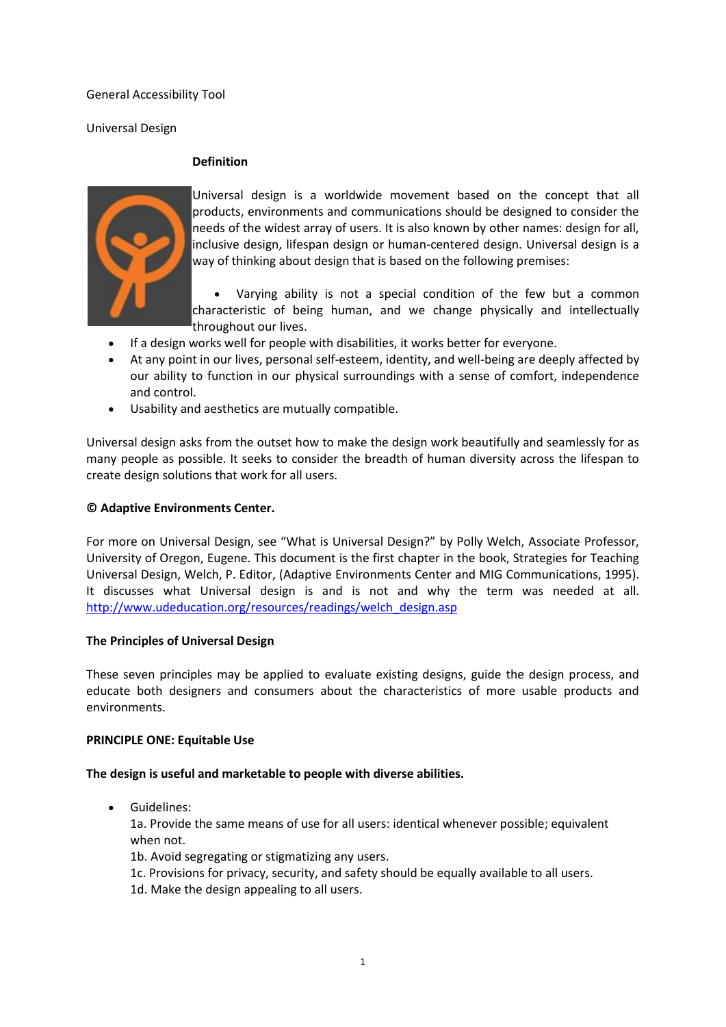General Accessibility Tool

Universal Design

### **Definition**



Universal design is a worldwide movement based on the concept that all products, environments and communications should be designed to consider the needs of the widest array of users. It is also known by other names: design for all, inclusive design, lifespan design or human-centered design. Universal design is a way of thinking about design that is based on the following premises:

 Varying ability is not a special condition of the few but a common characteristic of being human, and we change physically and intellectually throughout our lives.

- If a design works well for people with disabilities, it works better for everyone.
- At any point in our lives, personal self-esteem, identity, and well-being are deeply affected by our ability to function in our physical surroundings with a sense of comfort, independence and control.
- Usability and aesthetics are mutually compatible.

Universal design asks from the outset how to make the design work beautifully and seamlessly for as many people as possible. It seeks to consider the breadth of human diversity across the lifespan to create design solutions that work for all users.

### **© Adaptive Environments Center.**

For more on Universal Design, see "What is Universal Design?" by Polly Welch, Associate Professor, University of Oregon, Eugene. This document is the first chapter in the book, Strategies for Teaching Universal Design, Welch, P. Editor, (Adaptive Environments Center and MIG Communications, 1995). It discusses what Universal design is and is not and why the term was needed at all. [http://www.udeducation.org/resources/readings/welch\\_design.asp](http://www.udeducation.org/resources/readings/welch_design.asp)

## **The Principles of Universal Design**

These seven principles may be applied to evaluate existing designs, guide the design process, and educate both designers and consumers about the characteristics of more usable products and environments.

### **PRINCIPLE ONE: Equitable Use**

### **The design is useful and marketable to people with diverse abilities.**

Guidelines:

1a. Provide the same means of use for all users: identical whenever possible; equivalent when not.

1b. Avoid segregating or stigmatizing any users.

- 1c. Provisions for privacy, security, and safety should be equally available to all users.
- 1d. Make the design appealing to all users.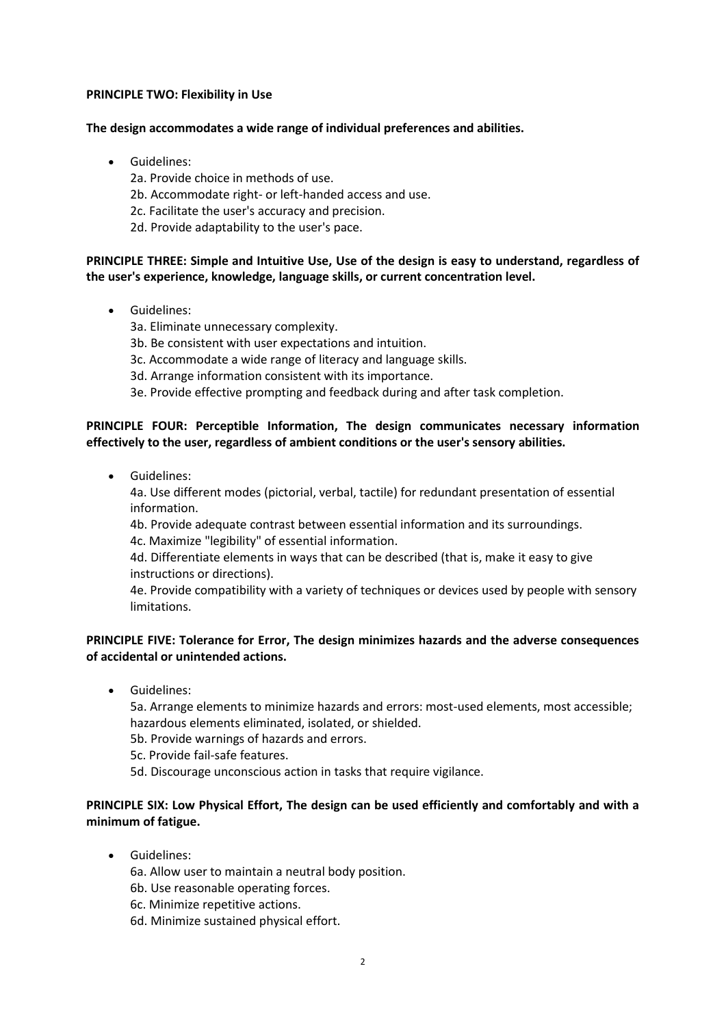### **PRINCIPLE TWO: Flexibility in Use**

### **The design accommodates a wide range of individual preferences and abilities.**

- Guidelines:
	- 2a. Provide choice in methods of use.
	- 2b. Accommodate right- or left-handed access and use.
	- 2c. Facilitate the user's accuracy and precision.
	- 2d. Provide adaptability to the user's pace.

# **PRINCIPLE THREE: Simple and Intuitive Use, Use of the design is easy to understand, regardless of the user's experience, knowledge, language skills, or current concentration level.**

- Guidelines:
	- 3a. Eliminate unnecessary complexity.
	- 3b. Be consistent with user expectations and intuition.
	- 3c. Accommodate a wide range of literacy and language skills.
	- 3d. Arrange information consistent with its importance.
	- 3e. Provide effective prompting and feedback during and after task completion.

## **PRINCIPLE FOUR: Perceptible Information, The design communicates necessary information effectively to the user, regardless of ambient conditions or the user's sensory abilities.**

**•** Guidelines:

4a. Use different modes (pictorial, verbal, tactile) for redundant presentation of essential information.

4b. Provide adequate contrast between essential information and its surroundings. 4c. Maximize "legibility" of essential information.

4d. Differentiate elements in ways that can be described (that is, make it easy to give instructions or directions).

4e. Provide compatibility with a variety of techniques or devices used by people with sensory limitations.

## **PRINCIPLE FIVE: Tolerance for Error, The design minimizes hazards and the adverse consequences of accidental or unintended actions.**

Guidelines:

5a. Arrange elements to minimize hazards and errors: most-used elements, most accessible; hazardous elements eliminated, isolated, or shielded.

- 5b. Provide warnings of hazards and errors.
- 5c. Provide fail-safe features.
- 5d. Discourage unconscious action in tasks that require vigilance.

## **PRINCIPLE SIX: Low Physical Effort, The design can be used efficiently and comfortably and with a minimum of fatigue.**

**•** Guidelines:

6a. Allow user to maintain a neutral body position.

- 6b. Use reasonable operating forces.
- 6c. Minimize repetitive actions.
- 6d. Minimize sustained physical effort.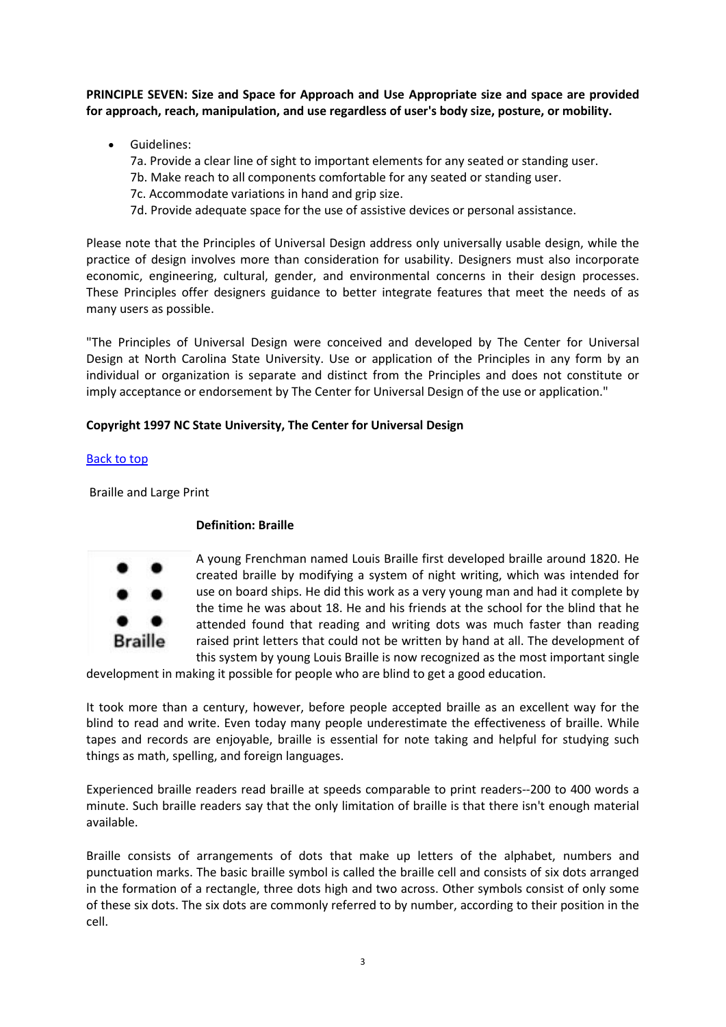**PRINCIPLE SEVEN: Size and Space for Approach and Use Appropriate size and space are provided for approach, reach, manipulation, and use regardless of user's body size, posture, or mobility.**

Guidelines:

7a. Provide a clear line of sight to important elements for any seated or standing user.

- 7b. Make reach to all components comfortable for any seated or standing user.
- 7c. Accommodate variations in hand and grip size.
- 7d. Provide adequate space for the use of assistive devices or personal assistance.

Please note that the Principles of Universal Design address only universally usable design, while the practice of design involves more than consideration for usability. Designers must also incorporate economic, engineering, cultural, gender, and environmental concerns in their design processes. These Principles offer designers guidance to better integrate features that meet the needs of as many users as possible.

"The Principles of Universal Design were conceived and developed by The Center for Universal Design at North Carolina State University. Use or application of the Principles in any form by an individual or organization is separate and distinct from the Principles and does not constitute or imply acceptance or endorsement by The Center for Universal Design of the use or application."

# **Copyright 1997 NC State University, The Center for Universal Design**

## [Back to top](http://www.artbeyondsight.org/handbook/acs-universaldesign.shtml#top)

Braille and Large Print

## **Definition: Braille**



A young Frenchman named Louis Braille first developed braille around 1820. He created braille by modifying a system of night writing, which was intended for use on board ships. He did this work as a very young man and had it complete by the time he was about 18. He and his friends at the school for the blind that he attended found that reading and writing dots was much faster than reading raised print letters that could not be written by hand at all. The development of this system by young Louis Braille is now recognized as the most important single

development in making it possible for people who are blind to get a good education.

It took more than a century, however, before people accepted braille as an excellent way for the blind to read and write. Even today many people underestimate the effectiveness of braille. While tapes and records are enjoyable, braille is essential for note taking and helpful for studying such things as math, spelling, and foreign languages.

Experienced braille readers read braille at speeds comparable to print readers--200 to 400 words a minute. Such braille readers say that the only limitation of braille is that there isn't enough material available.

Braille consists of arrangements of dots that make up letters of the alphabet, numbers and punctuation marks. The basic braille symbol is called the braille cell and consists of six dots arranged in the formation of a rectangle, three dots high and two across. Other symbols consist of only some of these six dots. The six dots are commonly referred to by number, according to their position in the cell.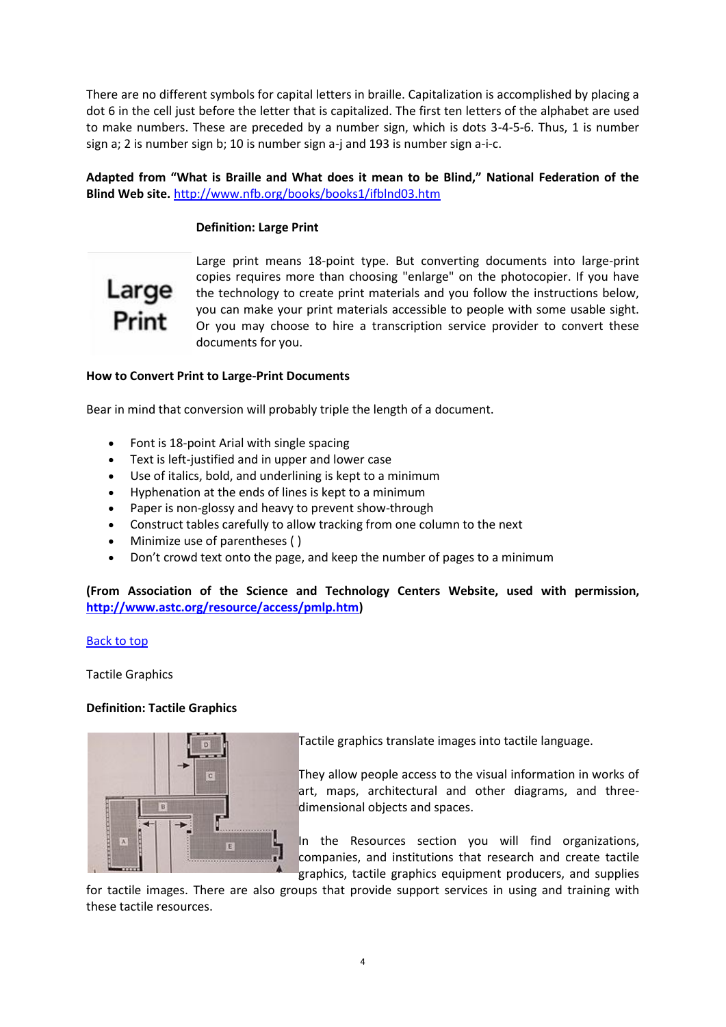There are no different symbols for capital letters in braille. Capitalization is accomplished by placing a dot 6 in the cell just before the letter that is capitalized. The first ten letters of the alphabet are used to make numbers. These are preceded by a number sign, which is dots 3-4-5-6. Thus, 1 is number sign a; 2 is number sign b; 10 is number sign a-j and 193 is number sign a-i-c.

## **Adapted from "What is Braille and What does it mean to be Blind," National Federation of the Blind Web site.** <http://www.nfb.org/books/books1/ifblnd03.htm>

## **Definition: Large Print**



Large print means 18-point type. But converting documents into large-print copies requires more than choosing "enlarge" on the photocopier. If you have the technology to create print materials and you follow the instructions below, you can make your print materials accessible to people with some usable sight. Or you may choose to hire a transcription service provider to convert these documents for you.

### **How to Convert Print to Large-Print Documents**

Bear in mind that conversion will probably triple the length of a document.

- Font is 18-point Arial with single spacing
- Text is left-justified and in upper and lower case
- Use of italics, bold, and underlining is kept to a minimum
- Hyphenation at the ends of lines is kept to a minimum
- Paper is non-glossy and heavy to prevent show-through
- Construct tables carefully to allow tracking from one column to the next
- Minimize use of parentheses ( )
- Don't crowd text onto the page, and keep the number of pages to a minimum

**(From Association of the Science and Technology Centers Website, used with permission, [http://www.astc.org/resource/access/pmlp.htm\)](http://www.astc.org/resource/access/pmlp.htm)**

[Back to top](http://www.artbeyondsight.org/handbook/acs-braillelarge.shtml#top)

Tactile Graphics

### **Definition: Tactile Graphics**



Tactile graphics translate images into tactile language.

They allow people access to the visual information in works of art, maps, architectural and other diagrams, and threedimensional objects and spaces.

In the Resources section you will find organizations, companies, and institutions that research and create tactile graphics, tactile graphics equipment producers, and supplies

for tactile images. There are also groups that provide support services in using and training with these tactile resources.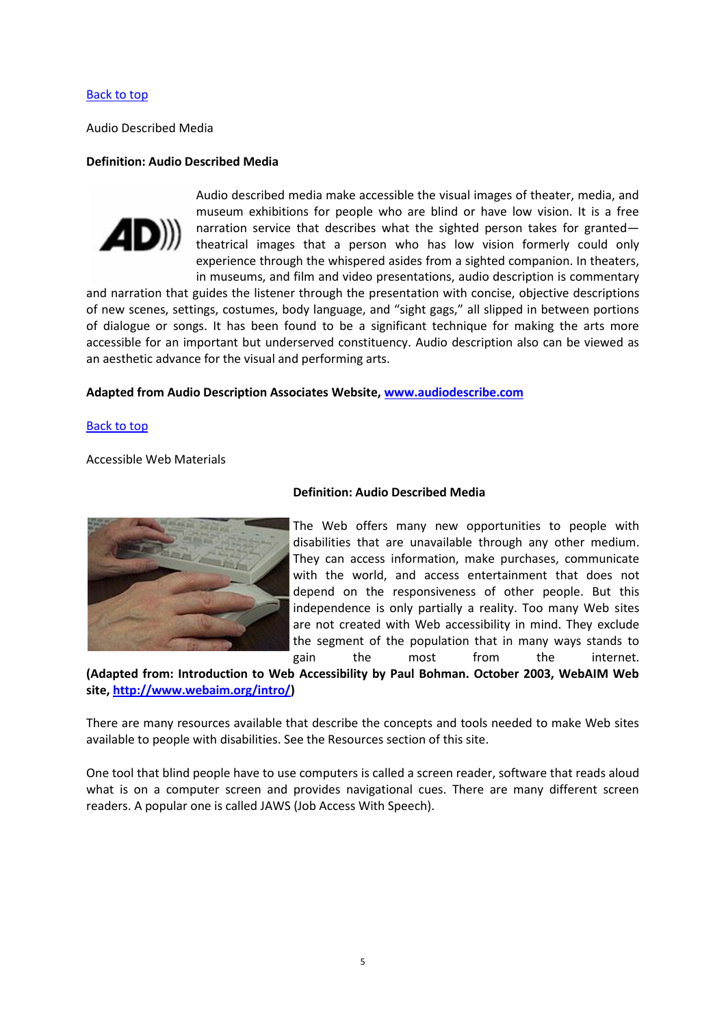### [Back to top](http://www.artbeyondsight.org/handbook/acs-tactilegraphics.shtml#top)

Audio Described Media

#### **Definition: Audio Described Media**



Audio described media make accessible the visual images of theater, media, and museum exhibitions for people who are blind or have low vision. It is a free narration service that describes what the sighted person takes for granted theatrical images that a person who has low vision formerly could only experience through the whispered asides from a sighted companion. In theaters, in museums, and film and video presentations, audio description is commentary

and narration that guides the listener through the presentation with concise, objective descriptions of new scenes, settings, costumes, body language, and "sight gags," all slipped in between portions of dialogue or songs. It has been found to be a significant technique for making the arts more accessible for an important but underserved constituency. Audio description also can be viewed as an aesthetic advance for the visual and performing arts.

### **Adapted from Audio Description Associates Website, [www.audiodescribe.com](http://www.audiodescribe.com/)**

[Back to top](http://www.artbeyondsight.org/handbook/acs-audiodescribed.shtml#top)

Accessible Web Materials



#### **Definition: Audio Described Media**

The Web offers many new opportunities to people with disabilities that are unavailable through any other medium. They can access information, make purchases, communicate with the world, and access entertainment that does not depend on the responsiveness of other people. But this independence is only partially a reality. Too many Web sites are not created with Web accessibility in mind. They exclude the segment of the population that in many ways stands to gain the most from the internet.

**(Adapted from: Introduction to Web Accessibility by Paul Bohman. October 2003, WebAIM Web site[, http://www.webaim.org/intro/\)](http://www.webaim.org/intro/)**

There are many resources available that describe the concepts and tools needed to make Web sites available to people with disabilities. See the Resources section of this site.

One tool that blind people have to use computers is called a screen reader, software that reads aloud what is on a computer screen and provides navigational cues. There are many different screen readers. A popular one is called JAWS (Job Access With Speech).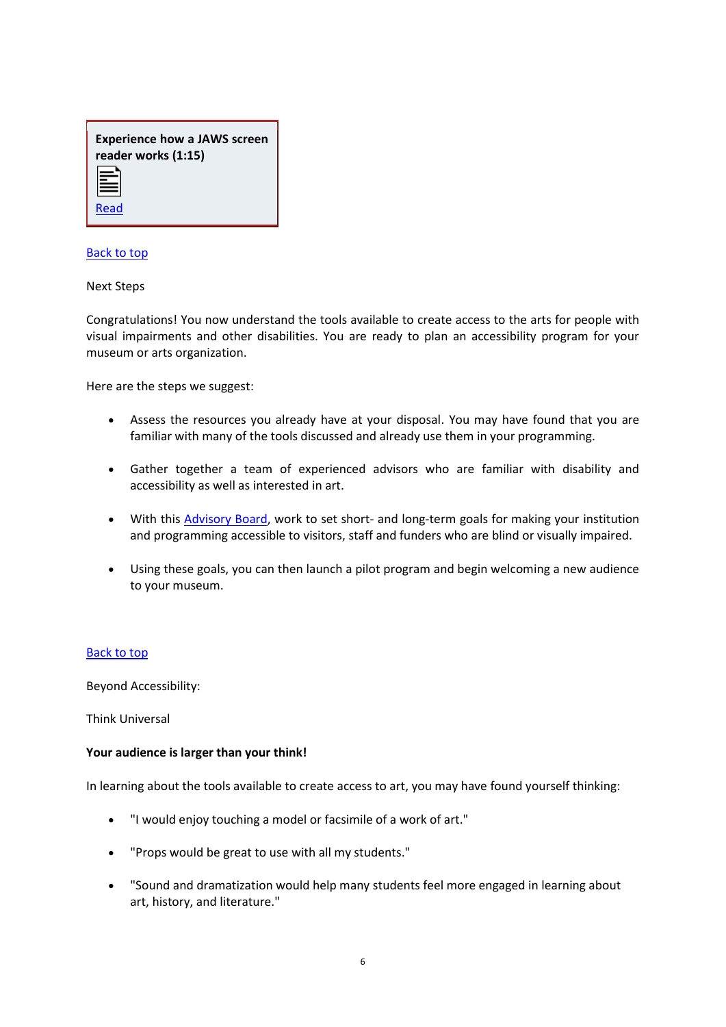| <b>Experience how a JAWS screen</b> |
|-------------------------------------|
| reader works (1:15)                 |
| E                                   |

#### [Back to top](http://www.artbeyondsight.org/handbook/acs-accessibleweb.shtml#top)

[Read](http://www.artbeyondsight.org/handbook/text-abs.shtml)

 $=$ 

Next Steps

Congratulations! You now understand the tools available to create access to the arts for people with visual impairments and other disabilities. You are ready to plan an accessibility program for your museum or arts organization.

Here are the steps we suggest:

- Assess the resources you already have at your disposal. You may have found that you are familiar with many of the tools discussed and already use them in your programming.
- Gather together a team of experienced advisors who are familiar with disability and accessibility as well as interested in art.
- With this [Advisory Board,](http://www.artbeyondsight.org/handbook/advisory.shtml) work to set short- and long-term goals for making your institution and programming accessible to visitors, staff and funders who are blind or visually impaired.
- Using these goals, you can then launch a pilot program and begin welcoming a new audience to your museum.

### [Back to top](http://www.artbeyondsight.org/handbook/acs-nextsteps.shtml#top)

Beyond Accessibility:

Think Universal

#### **Your audience is larger than your think!**

In learning about the tools available to create access to art, you may have found yourself thinking:

- "I would enjoy touching a model or facsimile of a work of art."
- "Props would be great to use with all my students."
- "Sound and dramatization would help many students feel more engaged in learning about art, history, and literature."